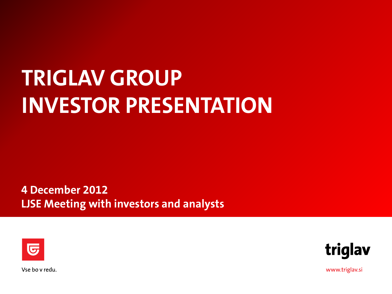# **TRIGLAV GROUP INVESTOR PRESENTATION**

**4 December 2012 LJSE Meeting with investors and analysts**





Vse bo v redu.

www.triglav.si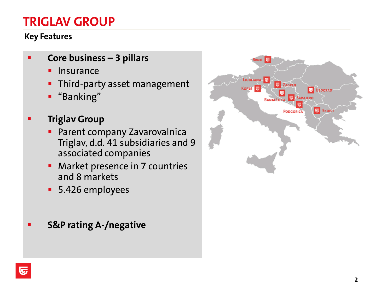# **TRIGLAV GROUP**

#### **Key Features**

- **Core business – 3 pillars**
	- **Insurance**
	- **Third-party asset management**
	- "Banking"
- **Triglav Group** 
	- **Parent company Zavarovalnica** Triglav, d.d. 41 subsidiaries and 9 associated companies
	- Market presence in 7 countries and 8 markets
	- 5.426 employees
- **S&P rating A-/negative**

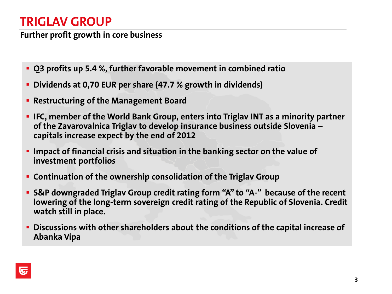# **TRIGLAV GROUP**

**Further profit growth in core business**

- **Q3 profits up 5.4 %, further favorable movement in combined ratio**
- **Dividends at 0,70 EUR per share (47.7 % growth in dividends)**
- **Restructuring of the Management Board**
- **IFC, member of the World Bank Group, enters into Triglav INT as a minority partner of the Zavarovalnica Triglav to develop insurance business outside Slovenia – capitals increase expect by the end of 2012**
- **Impact of financial crisis and situation in the banking sector on the value of investment portfolios**
- **Continuation of the ownership consolidation of the Triglav Group**
- **S&P downgraded Triglav Group credit rating form "A" to "A-" because of the recent lowering of the long-term sovereign credit rating of the Republic of Slovenia. Credit watch still in place.**
- **Discussions with other shareholders about the conditions of the capital increase of Abanka Vipa**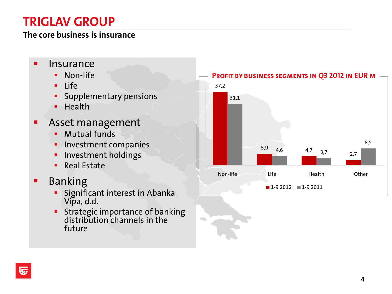# **TRIGLAV GROUP**

#### **The core business is insurance**

- **Insurance** 
	- **Non-life**
	- $Life$
	- Supplementary pensions
	- $H$  Health
- **Asset management** 
	- **Mutual funds**
	- **Investment companies**
	- **Investment holdings**
	- **Real Estate**
- **Banking** 
	- Significant interest in Abanka Vipa, d.d.
	- **Strategic importance of banking** distribution channels in the future

 $\sqrt{2}$ 

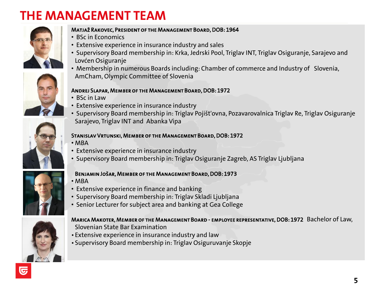# **THE MANAGEMENT TEAM**







- BSc in Economics
- Extensive experience in insurance industry and sales
- Supervisory Board membership in: Krka, Jedrski Pool, Triglav INT, Triglav Osiguranje, Sarajevo and Lovćen Osiguranje
- Membership in numerous Boards including: Chamber of commerce and Industry of Slovenia, AmCham, Olympic Committee of Slovenia

#### Andrej Slapar, Member of the Management Board, DOB: 1972

- BSc in Law
- Extensive experience in insurance industry
- Supervisory Board membership in: Triglav Pojišt'ovna, Pozavarovalnica Triglav Re, Triglav Osiguranje Sarajevo, Triglav INT and Abanka Vipa

#### Stanislav Vrtunski, Member of the Management Board, DOB: 1972

- MBA
- Extensive experience in insurance industry
- Supervisory Board membership in: Triglav Osiguranje Zagreb, AS Triglav Ljubljana

#### Benjamin Jošar, Member of the Management Board, DOB: 1973

- MBA
- Extensive experience in finance and banking
- Supervisory Board membership in: Triglav Skladi Ljubljana
- Senior Lecturer for subject area and banking at Gea College



#### Marica Makoter, Member of the Management Board - employee representative, DOB: 1972 Bachelor of Law, Slovenian State Bar Examination

- Extensive experience in insurance industry and law
- Supervisory Board membership in: Triglav Osiguruvanje Skopje



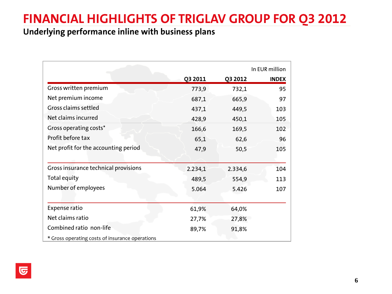# **FINANCIAL HIGHLIGHTS OF TRIGLAV GROUP FOR Q3 2012**

#### **Underlying performance inline with business plans**

|                                                 | In EUR million |         |              |  |  |
|-------------------------------------------------|----------------|---------|--------------|--|--|
|                                                 | Q3 2011        | Q3 2012 | <b>INDEX</b> |  |  |
| Gross written premium                           | 773,9          | 732,1   | 95           |  |  |
| Net premium income                              | 687,1          | 665,9   | 97           |  |  |
| Gross claims settled                            | 437,1          | 449,5   | 103          |  |  |
| Net claims incurred                             | 428,9          | 450,1   | 105          |  |  |
| Gross operating costs*                          | 166,6          | 169,5   | 102          |  |  |
| Profit before tax                               | 65,1           | 62,6    | 96           |  |  |
| Net profit for the accounting period            | 47,9           | 50,5    | 105          |  |  |
|                                                 |                |         |              |  |  |
| Gross insurance technical provisions            | 2.234,1        | 2.334,6 | 104          |  |  |
| Total equity                                    | 489,5          | 554,9   | 113          |  |  |
| Number of employees                             | 5.064          | 5.426   | 107          |  |  |
|                                                 |                |         |              |  |  |
| <b>Expense ratio</b>                            | 61,9%          | 64,0%   |              |  |  |
| Net claims ratio                                | 27,7%          | 27,8%   |              |  |  |
| Combined ratio non-life                         | 89,7%          | 91,8%   |              |  |  |
| * Gross operating costs of insurance operations |                |         |              |  |  |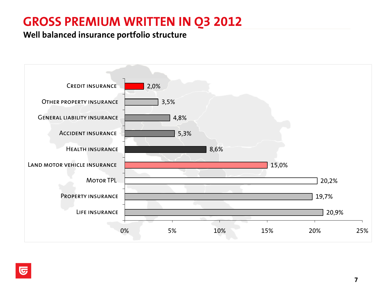# **GROSS PREMIUM WRITTEN IN Q3 2012**

#### **Well balanced insurance portfolio structure**

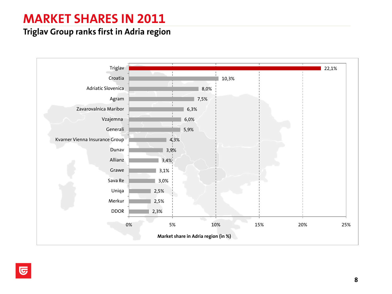# **MARKET SHARES IN 2011**

#### **Triglav Group ranks first in Adria region**

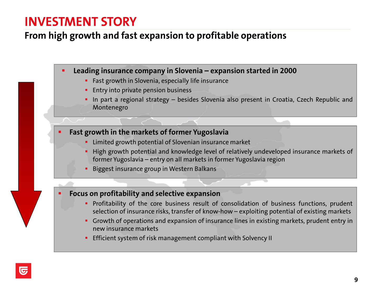### **INVESTMENT STORY**

#### **From high growth and fast expansion to profitable operations**

**Leading insurance company in Slovenia – expansion started in 2000**

- **Fast growth in Slovenia, especially life insurance**
- **Entry into private pension business**
- **In part a regional strategy besides Slovenia also present in Croatia, Czech Republic and** Montenegro
- **Fast growth in the markets of former Yugoslavia**
	- **EXTERG** Final arouth potential of Slovenian insurance market
	- **High growth potential and knowledge level of relatively undeveloped insurance markets of** former Yugoslavia – entry on all markets in former Yugoslavia region
	- **Biggest insurance group in Western Balkans**

#### **Focus on profitability and selective expansion**

- **Profitability of the core business result of consolidation of business functions, prudent** selection of insurance risks, transfer of know-how – exploiting potential of existing markets
- Growth of operations and expansion of insurance lines in existing markets, prudent entry in new insurance markets
- **Efficient system of risk management compliant with Solvency II**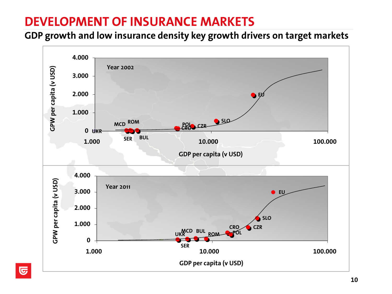# **DEVELOPMENT OF INSURANCE MARKETS**

**GDP growth and low insurance density key growth drivers on target markets**

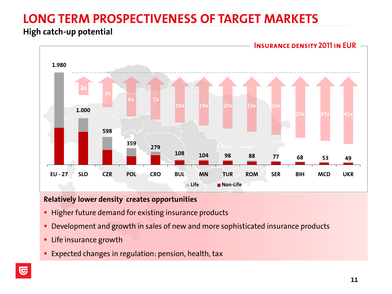# **LONG TERM PROSPECTIVENESS OF TARGET MARKETS**

#### **High catch-up potential**



#### **Relatively lower density creates opportunities**

- **Higher future demand for existing insurance products**
- **Development and growth in sales of new and more sophisticated insurance products**
- **EXEC** insurance growth
- Expected changes in regulation: pension, health, tax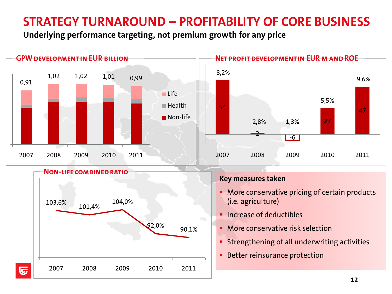# **STRATEGY TURNAROUND – PROFITABILITY OF CORE BUSINESS**

**Underlying performance targeting, not premium growth for any price**

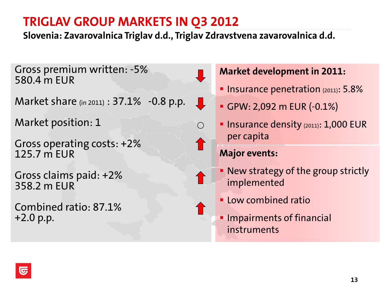**Slovenia: Zavarovalnica Triglav d.d., Triglav Zdravstvena zavarovalnica d.d.**

 $\mathbf{\downarrow}$ 

○

Gross premium written: -5% 580.4 m EUR

Market share (in 2011) : 37.1% -0.8 p.p.

Market position: 1

Gross operating costs: +2% 125.7 m EUR

Gross claims paid: +2% 358.2 m EUR

Combined ratio: 87.1% +2.0 p.p.

#### **Market development in 2011:**

- **Insurance penetration (2011): 5.8%**
- GPW: 2,092 m EUR (-0.1%)
- **Insurance density (2011): 1,000 EUR** per capita

- New strategy of the group strictly implemented
- **Low combined ratio**
- **Impairments of financial** instruments

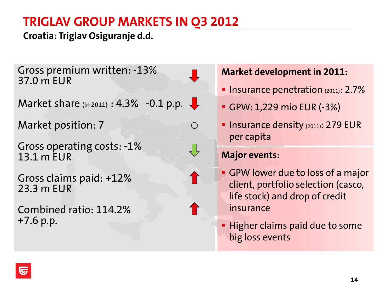### **Croatia: Triglav Osiguranje d.d.**

Gross premium written: -13% 37.0 m EUR

Market share (in 2011) :  $4.3\%$  -0.1 p.p.

Market position: 7

Gross operating costs: -1% 13.1 m EUR

Gross claims paid: +12% 23.3 m EUR

Combined ratio: 114.2% +7.6 p.p.

### **Market development in 2011:**

- **Insurance penetration**  $(2011)$ : 2.7%
- GPW: 1,229 mio EUR (-3%)
- **Insurance density (2011): 279 EUR** per capita

#### **Major events:**

 $\bigcirc$ 

- GPW lower due to loss of a major client, portfolio selection (casco, life stock) and drop of credit insurance
- **Higher claims paid due to some** big loss events

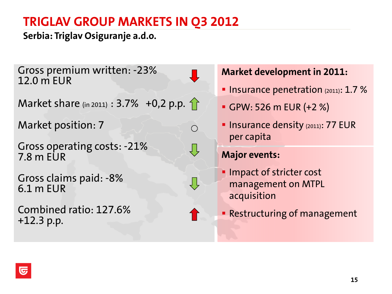**Serbia: Triglav Osiguranje a.d.o.**

Gross premium written: -23% 12.0 m EUR

Market share (in 2011) :  $3.7\%$  +0,2 p.p. 1

Market position: 7

Gross operating costs: -21% 7.8 m EUR

Gross claims paid: -8% 6.1 m EUR

Combined ratio: 127.6% +12.3 p.p.

**Market development in 2011:**

- **Insurance penetration**  $(2011)$ : 1.7 %
- GPW: 526 m EUR (+2 %)
- **Insurance density (2011): 77 EUR** per capita

### **Major events:**

 $\bigcirc$ 

Ų,

- **Impact of stricter cost** management on MTPL acquisition
- **Restructuring of management**

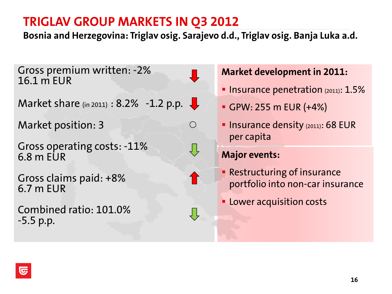**Bosnia and Herzegovina: Triglav osig. Sarajevo d.d., Triglav osig. Banja Luka a.d.**

 $\bigcirc$ 

Gross premium written: -2% 16.1 m EUR

Market share (in 2011) : 8.2% -1.2 p.p.  $\downarrow$ 

Market position: 3

Gross operating costs: -11% 6.8 m EUR

Gross claims paid: +8% 6.7 m EUR

Combined ratio: 101.0% -5.5 p.p.

#### **Market development in 2011:**

- **Insurance penetration**  $(2011)$ :  $1.5%$
- GPW: 255 m EUR (+4%)
- **Insurance density (2011): 68 EUR** per capita

- **Restructuring of insurance** portfolio into non-car insurance
- **Lower acquisition costs**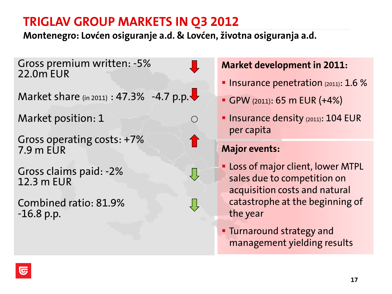**Montenegro: Lovćen osiguranje a.d. & Lovćen, životna osiguranja a.d.**

 $\bigcirc$ 

Gross premium written: -5% 22.0m EUR

Market share (in 2011) : 47.3% -4.7 p.p. $\blacktriangleright$ 

Market position: 1

Gross operating costs: +7% 7.9 m EUR

Gross claims paid: -2% 12.3 m EUR

Combined ratio: 81.9% -16.8 p.p.

#### **Market development in 2011:**

- **Insurance penetration**  $(2011)$ : 1.6 %
- GPW (2011): 65 m EUR (+4%)
- **Insurance density (2011): 104 EUR** per capita

- **Loss of major client, lower MTPL** sales due to competition on acquisition costs and natural catastrophe at the beginning of the year
- **Turnaround strategy and** management yielding results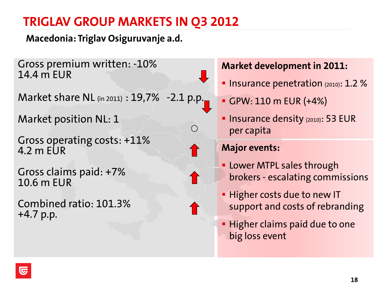**Macedonia: Triglav Osiguruvanje a.d.**

Gross premium written: -10% 14.4 m EUR

Market share NL (in 2011) : 19,7% -2.1 p.p.

Market position NL: 1

Gross operating costs: +11%  $4.2$  m FUR

Gross claims paid: +7% 10.6 m EUR

Combined ratio: 101.3% +4.7 p.p.

### **Market development in 2011:**

- **Insurance penetration**  $(2010)$ : 1.2 %
- GPW: 110 m EUR (+4%)
- **Insurance density (2010): 53 EUR** per capita

- **Lower MTPL sales through** brokers - escalating commissions
- **Higher costs due to new IT** support and costs of rebranding
- **Higher claims paid due to one** big loss event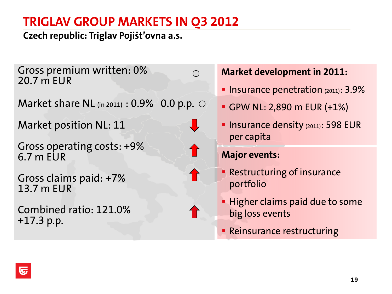**Czech republic: Triglav Pojišt'ovna a.s.**

Gross premium written: 0% 20.7 m EUR

Market share NL  $_{(in 2011)}$  : 0.9% 0.0 p.p.  $\circ$ 

Market position NL: 11

Gross operating costs: +9% 6.7 m EUR

Gross claims paid: +7% 13.7 m EUR

Combined ratio: 121.0% +17.3 p.p.

### **Market development in 2011:**

- **Insurance penetration (2011): 3.9%**
- GPW NL: 2,890 m EUR (+1%)
- **Insurance density (2011): 598 EUR** per capita

#### **Major events:**

 $\bigcap$ 

- **Restructuring of insurance** portfolio
- **Higher claims paid due to some** big loss events
- **Reinsurance restructuring**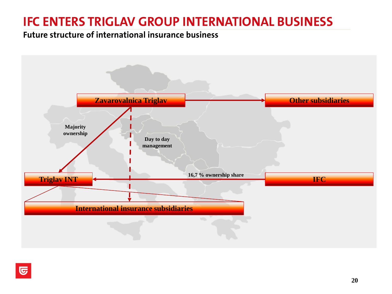# **IFC ENTERS TRIGLAV GROUP INTERNATIONAL BUSINESS**

#### **Future structure of international insurance business**

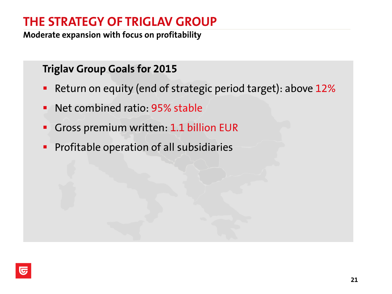# **THE STRATEGY OF TRIGLAV GROUP**

**Moderate expansion with focus on profitability**

### **Triglav Group Goals for 2015**

- **Return on equity (end of strategic period target): above 12%**
- **Net combined ratio: 95% stable**
- Gross premium written: 1.1 billion EUR
- **Profitable operation of all subsidiaries**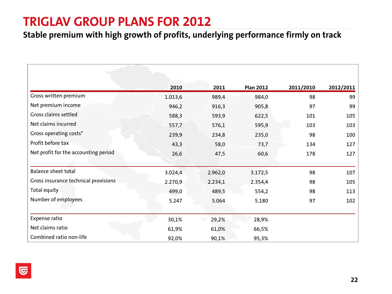### **TRIGLAV GROUP PLANS FOR 2012**

#### **Stable premium with high growth of profits, underlying performance firmly on track**

|                                      | 2010    | 2011    | <b>Plan 2012</b> | 2011/2010 | 2012/2011 |
|--------------------------------------|---------|---------|------------------|-----------|-----------|
| Gross written premium                | 1.013,6 | 989,4   | 984,0            | 98        | 99        |
| Net premium income                   | 946,2   | 916,3   | 905,8            | 97        | 99        |
| Gross claims settled                 | 588,3   | 593,9   | 622,5            | 101       | 105       |
| Net claims incurred                  | 557,7   | 576,1   | 595,9            | 103       | 103       |
| Gross operating costs*               | 239,9   | 234,8   | 235,0            | 98        | 100       |
| Profit before tax                    | 43,3    | 58,0    | 73,7             | 134       | 127       |
| Net profit for the accounting period | 26,6    | 47,5    | 60,6             | 178       | 127       |
|                                      |         |         |                  |           |           |
| <b>Balance sheet total</b>           | 3.024,4 | 2.962,0 | 3.172,5          | 98        | 107       |
| Gross insurance technical provisions | 2.270,9 | 2.234,1 | 2.354,4          | 98        | 105       |
| Total equity                         | 499,0   | 489,5   | 554,2            | 98        | 113       |
| Number of employees                  | 5.247   | 5.064   | 5.180            | 97        | 102       |
|                                      |         |         |                  |           |           |
| Expense ratio                        | 30,1%   | 29,2%   | 28,9%            |           |           |
| Net claims ratio                     | 61,9%   | 61,0%   | 66,5%            |           |           |
| Combined ratio non-life              | 92,0%   | 90,1%   | 95,3%            |           |           |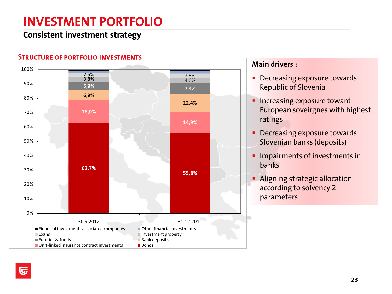# **INVESTMENT PORTFOLIO**

#### **Consistent investment strategy**



#### **Main drivers :**

- **Decreasing exposure towards** Republic of Slovenia
- **Increasing exposure toward** European soveirgnes with highest ratings
- **Decreasing exposure towards** Slovenian banks (deposits)
- **Impairments of investments in** banks
- **Aligning strategic allocation** according to solvency 2 parameters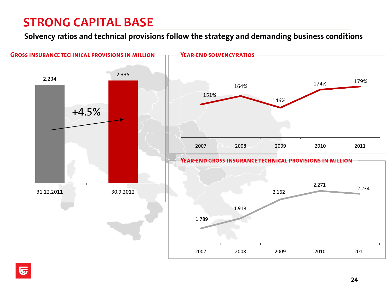# **STRONG CAPITAL BASE**

**Solvency ratios and technical provisions follow the strategy and demanding business conditions**

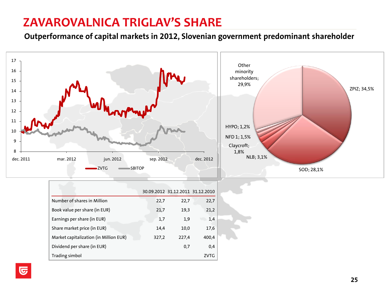### **ZAVAROVALNICA TRIGLAV'S SHARE**

**Outperformance of capital markets in 2012, Slovenian government predominant shareholder**

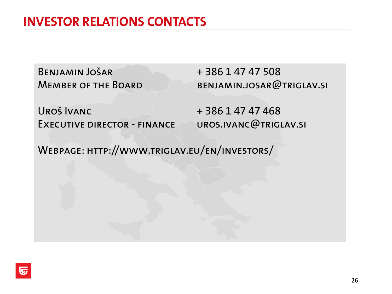# **INVESTOR RELATIONS CONTACTS**

BENJAMIN JOŠAR + 386 1 47 47 508

MEMBER OF THE BOARD BENJAMIN.JOSAR@TRIGLAV.SI

 $URO\check{S}$  IVANC  $+ 386 147 47 468$ EXECUTIVE DIRECTOR - FINANCE UROS.IVANC@TRIGLAV.SI

Webpage: http://www.triglav.eu/en/investors/